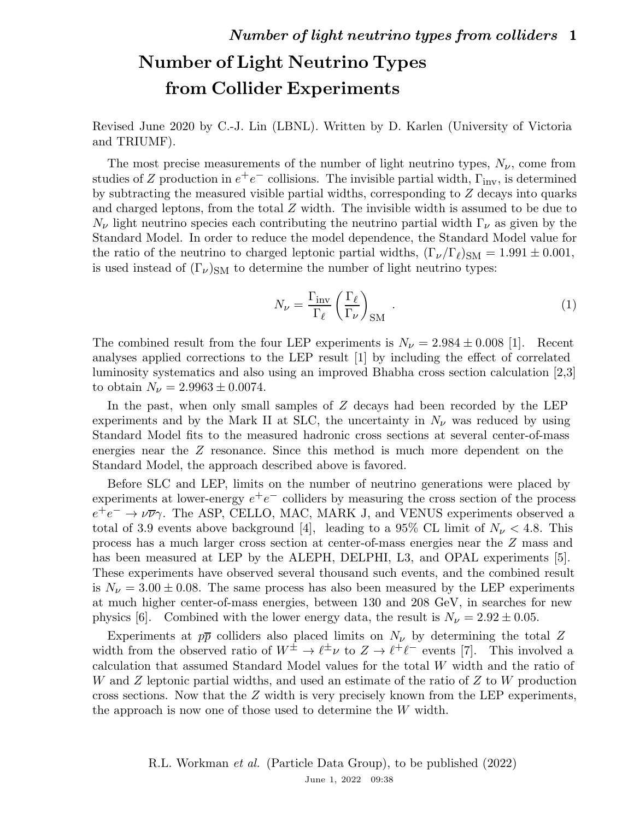## Number of Light Neutrino Types from Collider Experiments

Revised June 2020 by C.-J. Lin (LBNL). Written by D. Karlen (University of Victoria and TRIUMF).

The most precise measurements of the number of light neutrino types,  $N_{\nu}$ , come from studies of Z production in  $e^+e^-$  collisions. The invisible partial width,  $\Gamma_{\text{inv}}$ , is determined by subtracting the measured visible partial widths, corresponding to Z decays into quarks and charged leptons, from the total  $Z$  width. The invisible width is assumed to be due to  $N_{\nu}$  light neutrino species each contributing the neutrino partial width  $\Gamma_{\nu}$  as given by the Standard Model. In order to reduce the model dependence, the Standard Model value for the ratio of the neutrino to charged leptonic partial widths,  $(\Gamma_{\nu}/\Gamma_{\ell})_{\rm SM} = 1.991 \pm 0.001$ , is used instead of  $(\Gamma_{\nu})_{\rm SM}$  to determine the number of light neutrino types:

$$
N_{\nu} = \frac{\Gamma_{\text{inv}}}{\Gamma_{\ell}} \left(\frac{\Gamma_{\ell}}{\Gamma_{\nu}}\right)_{\text{SM}}.
$$
 (1)

The combined result from the four LEP experiments is  $N_{\nu} = 2.984 \pm 0.008$  [1]. Recent analyses applied corrections to the LEP result [1] by including the effect of correlated luminosity systematics and also using an improved Bhabha cross section calculation [2,3] to obtain  $N_{\nu} = 2.9963 \pm 0.0074$ .

In the past, when only small samples of Z decays had been recorded by the LEP experiments and by the Mark II at SLC, the uncertainty in  $N_{\nu}$  was reduced by using Standard Model fits to the measured hadronic cross sections at several center-of-mass energies near the Z resonance. Since this method is much more dependent on the Standard Model, the approach described above is favored.

Before SLC and LEP, limits on the number of neutrino generations were placed by experiments at lower-energy  $e^+e^-$  colliders by measuring the cross section of the process  $e^+e^- \rightarrow \nu \overline{\nu} \gamma$ . The ASP, CELLO, MAC, MARK J, and VENUS experiments observed a total of 3.9 events above background [4], leading to a 95% CL limit of  $N_{\nu} < 4.8$ . This process has a much larger cross section at center-of-mass energies near the Z mass and has been measured at LEP by the ALEPH, DELPHI, L3, and OPAL experiments [5]. These experiments have observed several thousand such events, and the combined result is  $N_{\nu} = 3.00 \pm 0.08$ . The same process has also been measured by the LEP experiments at much higher center-of-mass energies, between 130 and 208 GeV, in searches for new physics [6]. Combined with the lower energy data, the result is  $N_{\nu} = 2.92 \pm 0.05$ .

Experiments at  $p\bar{p}$  colliders also placed limits on  $N_{\nu}$  by determining the total Z width from the observed ratio of  $W^{\pm} \to \ell^{\pm} \nu$  to  $Z \to \ell^{\pm} \ell^{\pm}$  events [7]. This involved a calculation that assumed Standard Model values for the total W width and the ratio of W and Z leptonic partial widths, and used an estimate of the ratio of Z to W production cross sections. Now that the Z width is very precisely known from the LEP experiments, the approach is now one of those used to determine the W width.

> R.L. Workman et al. (Particle Data Group), to be published (2022) June 1, 2022 09:38